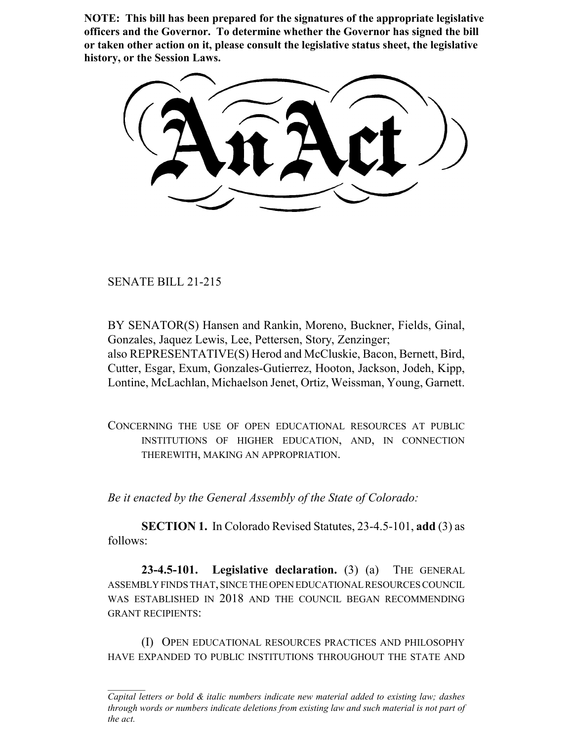**NOTE: This bill has been prepared for the signatures of the appropriate legislative officers and the Governor. To determine whether the Governor has signed the bill or taken other action on it, please consult the legislative status sheet, the legislative history, or the Session Laws.**

SENATE BILL 21-215

BY SENATOR(S) Hansen and Rankin, Moreno, Buckner, Fields, Ginal, Gonzales, Jaquez Lewis, Lee, Pettersen, Story, Zenzinger; also REPRESENTATIVE(S) Herod and McCluskie, Bacon, Bernett, Bird, Cutter, Esgar, Exum, Gonzales-Gutierrez, Hooton, Jackson, Jodeh, Kipp, Lontine, McLachlan, Michaelson Jenet, Ortiz, Weissman, Young, Garnett.

CONCERNING THE USE OF OPEN EDUCATIONAL RESOURCES AT PUBLIC INSTITUTIONS OF HIGHER EDUCATION, AND, IN CONNECTION THEREWITH, MAKING AN APPROPRIATION.

*Be it enacted by the General Assembly of the State of Colorado:*

**SECTION 1.** In Colorado Revised Statutes, 23-4.5-101, **add** (3) as follows:

**23-4.5-101. Legislative declaration.** (3) (a) THE GENERAL ASSEMBLY FINDS THAT, SINCE THE OPEN EDUCATIONAL RESOURCES COUNCIL WAS ESTABLISHED IN 2018 AND THE COUNCIL BEGAN RECOMMENDING GRANT RECIPIENTS:

(I) OPEN EDUCATIONAL RESOURCES PRACTICES AND PHILOSOPHY HAVE EXPANDED TO PUBLIC INSTITUTIONS THROUGHOUT THE STATE AND

*Capital letters or bold & italic numbers indicate new material added to existing law; dashes through words or numbers indicate deletions from existing law and such material is not part of the act.*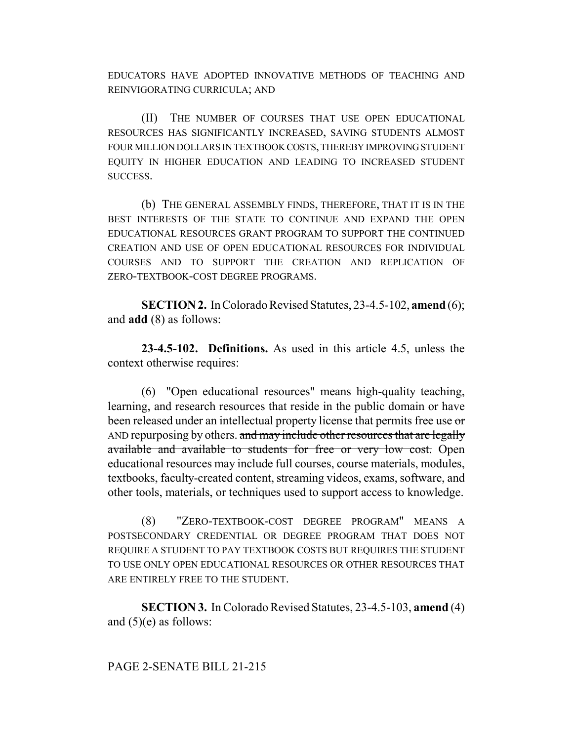EDUCATORS HAVE ADOPTED INNOVATIVE METHODS OF TEACHING AND REINVIGORATING CURRICULA; AND

(II) THE NUMBER OF COURSES THAT USE OPEN EDUCATIONAL RESOURCES HAS SIGNIFICANTLY INCREASED, SAVING STUDENTS ALMOST FOUR MILLION DOLLARS IN TEXTBOOK COSTS, THEREBY IMPROVING STUDENT EQUITY IN HIGHER EDUCATION AND LEADING TO INCREASED STUDENT SUCCESS.

(b) THE GENERAL ASSEMBLY FINDS, THEREFORE, THAT IT IS IN THE BEST INTERESTS OF THE STATE TO CONTINUE AND EXPAND THE OPEN EDUCATIONAL RESOURCES GRANT PROGRAM TO SUPPORT THE CONTINUED CREATION AND USE OF OPEN EDUCATIONAL RESOURCES FOR INDIVIDUAL COURSES AND TO SUPPORT THE CREATION AND REPLICATION OF ZERO-TEXTBOOK-COST DEGREE PROGRAMS.

**SECTION 2.** In Colorado Revised Statutes, 23-4.5-102, **amend** (6); and **add** (8) as follows:

**23-4.5-102. Definitions.** As used in this article 4.5, unless the context otherwise requires:

(6) "Open educational resources" means high-quality teaching, learning, and research resources that reside in the public domain or have been released under an intellectual property license that permits free use or AND repurposing by others. and may include other resources that are legally available and available to students for free or very low cost. Open educational resources may include full courses, course materials, modules, textbooks, faculty-created content, streaming videos, exams, software, and other tools, materials, or techniques used to support access to knowledge.

(8) "ZERO-TEXTBOOK-COST DEGREE PROGRAM" MEANS A POSTSECONDARY CREDENTIAL OR DEGREE PROGRAM THAT DOES NOT REQUIRE A STUDENT TO PAY TEXTBOOK COSTS BUT REQUIRES THE STUDENT TO USE ONLY OPEN EDUCATIONAL RESOURCES OR OTHER RESOURCES THAT ARE ENTIRELY FREE TO THE STUDENT.

**SECTION 3.** In Colorado Revised Statutes, 23-4.5-103, **amend** (4) and  $(5)(e)$  as follows:

## PAGE 2-SENATE BILL 21-215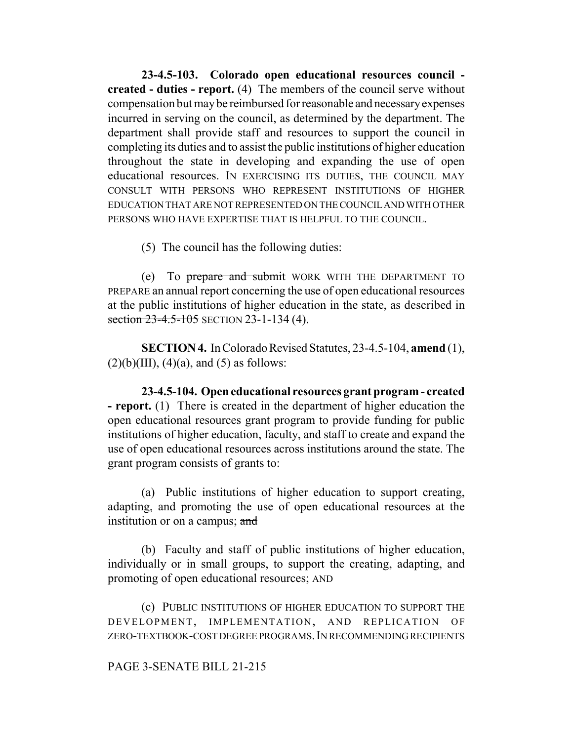**23-4.5-103. Colorado open educational resources council created - duties - report.** (4) The members of the council serve without compensation but may be reimbursed for reasonable and necessary expenses incurred in serving on the council, as determined by the department. The department shall provide staff and resources to support the council in completing its duties and to assist the public institutions of higher education throughout the state in developing and expanding the use of open educational resources. IN EXERCISING ITS DUTIES, THE COUNCIL MAY CONSULT WITH PERSONS WHO REPRESENT INSTITUTIONS OF HIGHER EDUCATION THAT ARE NOT REPRESENTED ON THE COUNCIL AND WITH OTHER PERSONS WHO HAVE EXPERTISE THAT IS HELPFUL TO THE COUNCIL.

(5) The council has the following duties:

(e) To prepare and submit WORK WITH THE DEPARTMENT TO PREPARE an annual report concerning the use of open educational resources at the public institutions of higher education in the state, as described in section 23-4.5-105 SECTION 23-1-134 (4).

**SECTION 4.** In Colorado Revised Statutes, 23-4.5-104, **amend** (1),  $(2)(b)(III)$ ,  $(4)(a)$ , and  $(5)$  as follows:

**23-4.5-104. Open educational resources grant program - created - report.** (1) There is created in the department of higher education the open educational resources grant program to provide funding for public institutions of higher education, faculty, and staff to create and expand the use of open educational resources across institutions around the state. The grant program consists of grants to:

(a) Public institutions of higher education to support creating, adapting, and promoting the use of open educational resources at the institution or on a campus; and

(b) Faculty and staff of public institutions of higher education, individually or in small groups, to support the creating, adapting, and promoting of open educational resources; AND

(c) PUBLIC INSTITUTIONS OF HIGHER EDUCATION TO SUPPORT THE DEVELOPMENT, IMPLEMENTATION, AND REPLICATION OF ZERO-TEXTBOOK-COST DEGREE PROGRAMS.IN RECOMMENDING RECIPIENTS

## PAGE 3-SENATE BILL 21-215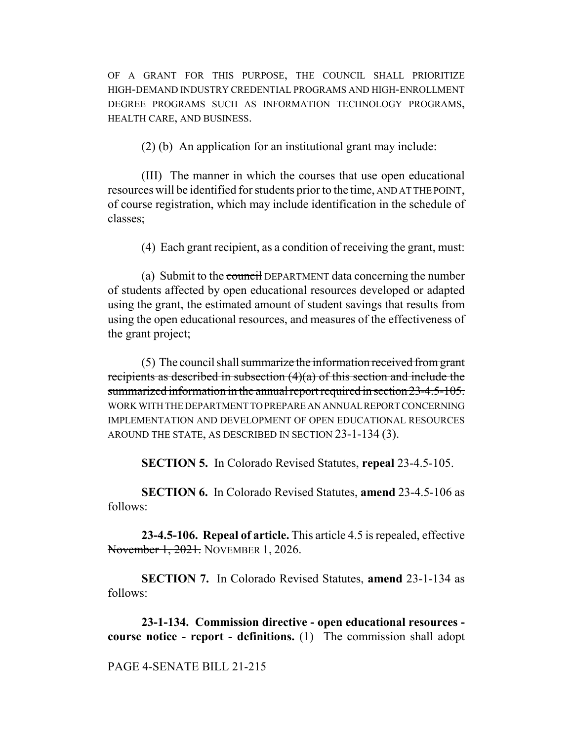OF A GRANT FOR THIS PURPOSE, THE COUNCIL SHALL PRIORITIZE HIGH-DEMAND INDUSTRY CREDENTIAL PROGRAMS AND HIGH-ENROLLMENT DEGREE PROGRAMS SUCH AS INFORMATION TECHNOLOGY PROGRAMS, HEALTH CARE, AND BUSINESS.

(2) (b) An application for an institutional grant may include:

(III) The manner in which the courses that use open educational resources will be identified for students prior to the time, AND AT THE POINT, of course registration, which may include identification in the schedule of classes;

(4) Each grant recipient, as a condition of receiving the grant, must:

(a) Submit to the council DEPARTMENT data concerning the number of students affected by open educational resources developed or adapted using the grant, the estimated amount of student savings that results from using the open educational resources, and measures of the effectiveness of the grant project;

(5) The council shall summarize the information received from grant recipients as described in subsection (4)(a) of this section and include the summarized information in the annual report required in section 23-4.5-105. WORK WITH THE DEPARTMENT TO PREPARE AN ANNUAL REPORT CONCERNING IMPLEMENTATION AND DEVELOPMENT OF OPEN EDUCATIONAL RESOURCES AROUND THE STATE, AS DESCRIBED IN SECTION 23-1-134 (3).

**SECTION 5.** In Colorado Revised Statutes, **repeal** 23-4.5-105.

**SECTION 6.** In Colorado Revised Statutes, **amend** 23-4.5-106 as follows:

**23-4.5-106. Repeal of article.** This article 4.5 is repealed, effective November 1, 2021. NOVEMBER 1, 2026.

**SECTION 7.** In Colorado Revised Statutes, **amend** 23-1-134 as follows:

**23-1-134. Commission directive - open educational resources course notice - report - definitions.** (1) The commission shall adopt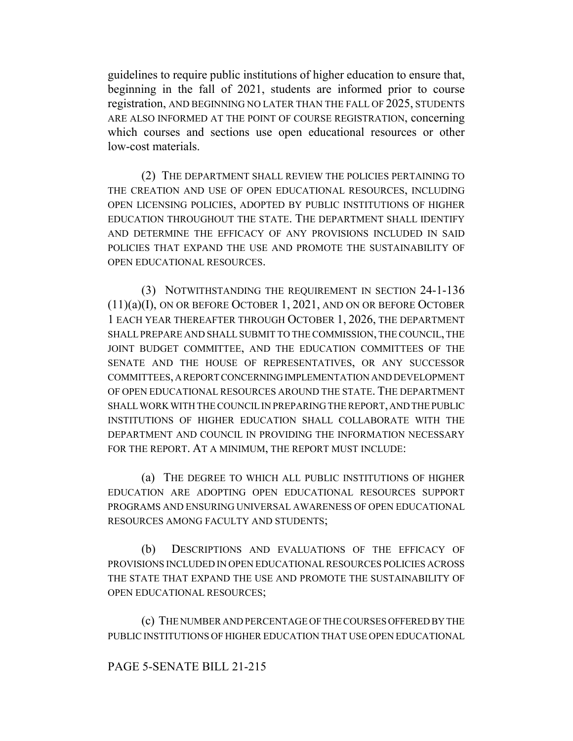guidelines to require public institutions of higher education to ensure that, beginning in the fall of 2021, students are informed prior to course registration, AND BEGINNING NO LATER THAN THE FALL OF 2025, STUDENTS ARE ALSO INFORMED AT THE POINT OF COURSE REGISTRATION, concerning which courses and sections use open educational resources or other low-cost materials.

(2) THE DEPARTMENT SHALL REVIEW THE POLICIES PERTAINING TO THE CREATION AND USE OF OPEN EDUCATIONAL RESOURCES, INCLUDING OPEN LICENSING POLICIES, ADOPTED BY PUBLIC INSTITUTIONS OF HIGHER EDUCATION THROUGHOUT THE STATE. THE DEPARTMENT SHALL IDENTIFY AND DETERMINE THE EFFICACY OF ANY PROVISIONS INCLUDED IN SAID POLICIES THAT EXPAND THE USE AND PROMOTE THE SUSTAINABILITY OF OPEN EDUCATIONAL RESOURCES.

(3) NOTWITHSTANDING THE REQUIREMENT IN SECTION 24-1-136 (11)(a)(I), ON OR BEFORE OCTOBER 1, 2021, AND ON OR BEFORE OCTOBER 1 EACH YEAR THEREAFTER THROUGH OCTOBER 1, 2026, THE DEPARTMENT SHALL PREPARE AND SHALL SUBMIT TO THE COMMISSION, THE COUNCIL, THE JOINT BUDGET COMMITTEE, AND THE EDUCATION COMMITTEES OF THE SENATE AND THE HOUSE OF REPRESENTATIVES, OR ANY SUCCESSOR COMMITTEES, A REPORT CONCERNING IMPLEMENTATION AND DEVELOPMENT OF OPEN EDUCATIONAL RESOURCES AROUND THE STATE. THE DEPARTMENT SHALL WORK WITH THE COUNCIL IN PREPARING THE REPORT, AND THE PUBLIC INSTITUTIONS OF HIGHER EDUCATION SHALL COLLABORATE WITH THE DEPARTMENT AND COUNCIL IN PROVIDING THE INFORMATION NECESSARY FOR THE REPORT. AT A MINIMUM, THE REPORT MUST INCLUDE:

(a) THE DEGREE TO WHICH ALL PUBLIC INSTITUTIONS OF HIGHER EDUCATION ARE ADOPTING OPEN EDUCATIONAL RESOURCES SUPPORT PROGRAMS AND ENSURING UNIVERSAL AWARENESS OF OPEN EDUCATIONAL RESOURCES AMONG FACULTY AND STUDENTS;

(b) DESCRIPTIONS AND EVALUATIONS OF THE EFFICACY OF PROVISIONS INCLUDED IN OPEN EDUCATIONAL RESOURCES POLICIES ACROSS THE STATE THAT EXPAND THE USE AND PROMOTE THE SUSTAINABILITY OF OPEN EDUCATIONAL RESOURCES;

(c) THE NUMBER AND PERCENTAGE OF THE COURSES OFFERED BY THE PUBLIC INSTITUTIONS OF HIGHER EDUCATION THAT USE OPEN EDUCATIONAL

## PAGE 5-SENATE BILL 21-215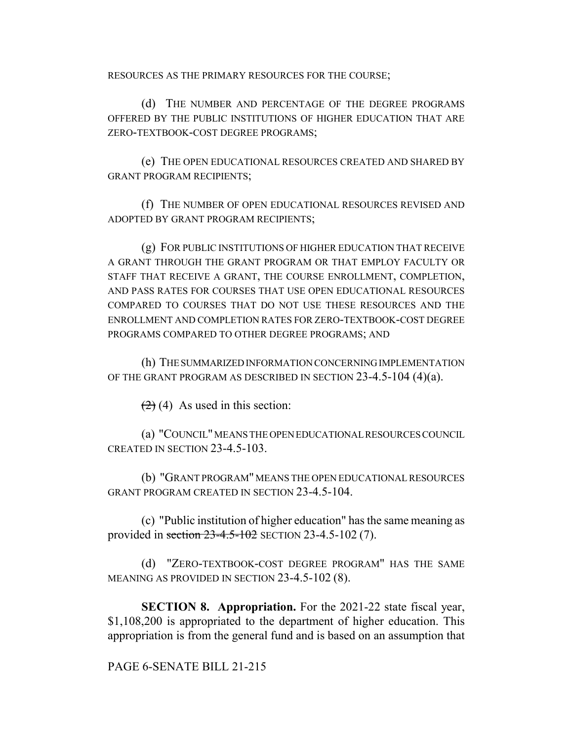RESOURCES AS THE PRIMARY RESOURCES FOR THE COURSE;

(d) THE NUMBER AND PERCENTAGE OF THE DEGREE PROGRAMS OFFERED BY THE PUBLIC INSTITUTIONS OF HIGHER EDUCATION THAT ARE ZERO-TEXTBOOK-COST DEGREE PROGRAMS;

(e) THE OPEN EDUCATIONAL RESOURCES CREATED AND SHARED BY GRANT PROGRAM RECIPIENTS;

(f) THE NUMBER OF OPEN EDUCATIONAL RESOURCES REVISED AND ADOPTED BY GRANT PROGRAM RECIPIENTS;

(g) FOR PUBLIC INSTITUTIONS OF HIGHER EDUCATION THAT RECEIVE A GRANT THROUGH THE GRANT PROGRAM OR THAT EMPLOY FACULTY OR STAFF THAT RECEIVE A GRANT, THE COURSE ENROLLMENT, COMPLETION, AND PASS RATES FOR COURSES THAT USE OPEN EDUCATIONAL RESOURCES COMPARED TO COURSES THAT DO NOT USE THESE RESOURCES AND THE ENROLLMENT AND COMPLETION RATES FOR ZERO-TEXTBOOK-COST DEGREE PROGRAMS COMPARED TO OTHER DEGREE PROGRAMS; AND

(h) THE SUMMARIZED INFORMATION CONCERNING IMPLEMENTATION OF THE GRANT PROGRAM AS DESCRIBED IN SECTION 23-4.5-104 (4)(a).

 $(2)$  (4) As used in this section:

(a) "COUNCIL" MEANS THE OPEN EDUCATIONAL RESOURCES COUNCIL CREATED IN SECTION 23-4.5-103.

(b) "GRANT PROGRAM" MEANS THE OPEN EDUCATIONAL RESOURCES GRANT PROGRAM CREATED IN SECTION 23-4.5-104.

(c) "Public institution of higher education" has the same meaning as provided in section  $23-4.5-102$  SECTION 23-4.5-102 (7).

(d) "ZERO-TEXTBOOK-COST DEGREE PROGRAM" HAS THE SAME MEANING AS PROVIDED IN SECTION 23-4.5-102 (8).

**SECTION 8. Appropriation.** For the 2021-22 state fiscal year, \$1,108,200 is appropriated to the department of higher education. This appropriation is from the general fund and is based on an assumption that

PAGE 6-SENATE BILL 21-215